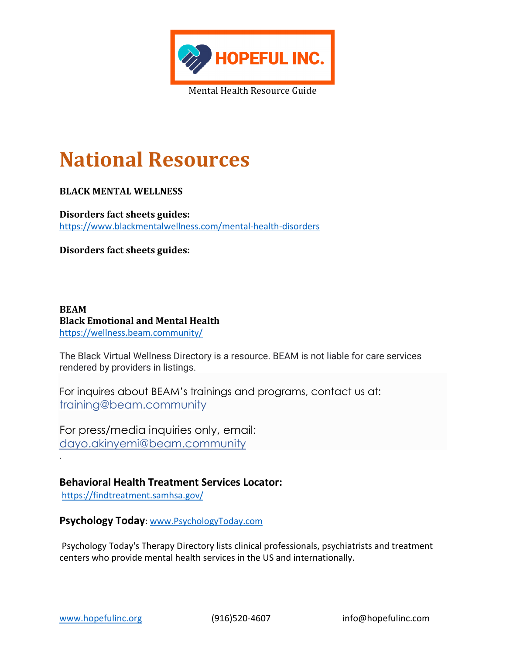

# **National Resources**

#### **BLACK MENTAL WELLNESS**

**Disorders fact sheets guides:** <https://www.blackmentalwellness.com/mental-health-disorders>

**Disorders fact sheets guides:**

**BEAM Black Emotional and Mental Health** <https://wellness.beam.community/>

The Black Virtual Wellness Directory is a resource. BEAM is not liable for care services rendered by providers in listings.

For inquires about BEAM's trainings and programs, contact us at: [training@beam.community](mailto:training@beam.community?subject=General%20Inquiry)

For press/media inquiries only, email: [dayo.akinyemi@beam.community](mailto:dayo.akinyemi@beam.community)

**Behavioral Health Treatment Services Locator:** <https://findtreatment.samhsa.gov/>

**Psychology Today**: [www.PsychologyToday.com](http://www.psychologytoday.com/)

Psychology Today's Therapy Directory lists clinical professionals, psychiatrists and treatment centers who provide mental health services in the US and internationally.

.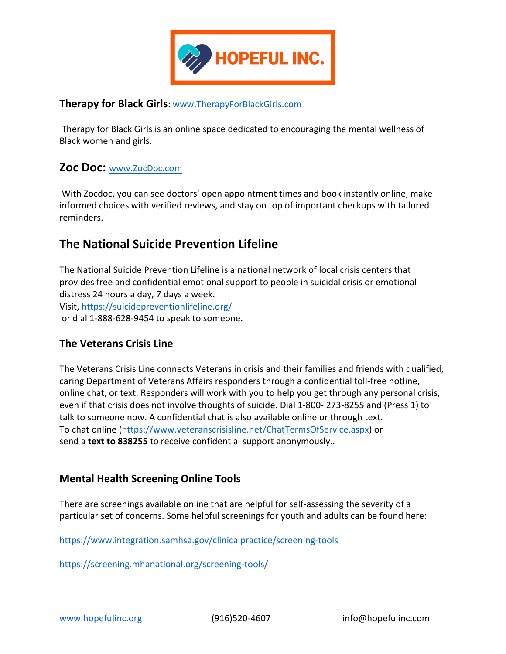

### **Therapy for Black Girls**: [www.TherapyForBlackGirls.com](http://www.therapyforblackgirls.com/)

Therapy for Black Girls is an online space dedicated to encouraging the mental wellness of Black women and girls.

## **Zoc Doc:** [www.ZocDoc.com](http://www.zocdoc.com/)

With Zocdoc, you can see doctors' open appointment times and book instantly online, make informed choices with verified reviews, and stay on top of important checkups with tailored reminders.

## **The National Suicide Prevention Lifeline**

The National Suicide Prevention Lifeline is a national network of local crisis centers that provides free and confidential emotional support to people in suicidal crisis or emotional distress 24 hours a day, 7 days a week.

Visit[, https://suicidepreventionlifeline.org/](https://suicidepreventionlifeline.org/)

or dial 1-888-628-9454 to speak to someone.

## **The Veterans Crisis Line**

The Veterans Crisis Line connects Veterans in crisis and their families and friends with qualified, caring Department of Veterans Affairs responders through a confidential toll-free hotline, online chat, or text. Responders will work with you to help you get through any personal crisis, even if that crisis does not involve thoughts of suicide. Dial 1-800- 273-8255 and (Press 1) to talk to someone now. A confidential chat is also available online or through text. To chat online [\(https://www.veteranscrisisline.net/ChatTermsOfService.aspx\)](https://www.veteranscrisisline.net/ChatTermsOfService.aspx) or send a **text to 838255** to receive confidential support anonymously..

## **Mental Health Screening Online Tools**

There are screenings available online that are helpful for self-assessing the severity of a particular set of concerns. Some helpful screenings for youth and adults can be found here:

<https://www.integration.samhsa.gov/clinicalpractice/screening-tools>

<https://screening.mhanational.org/screening-tools/>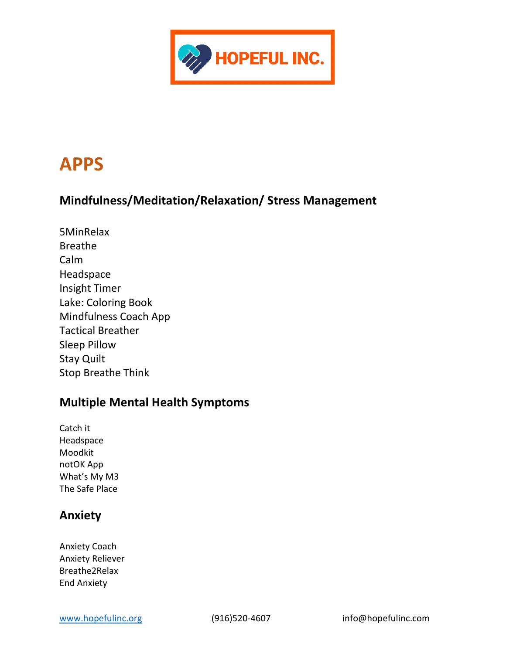

## **APPS**

## **Mindfulness/Meditation/Relaxation/ Stress Management**

5MinRelax Breathe Calm Headspace Insight Timer Lake: Coloring Book Mindfulness Coach App Tactical Breather Sleep Pillow Stay Quilt Stop Breathe Think

## **Multiple Mental Health Symptoms**

Catch it Headspace Moodkit notOK App What's My M3 The Safe Place

## **Anxiety**

Anxiety Coach Anxiety Reliever Breathe2Relax End Anxiety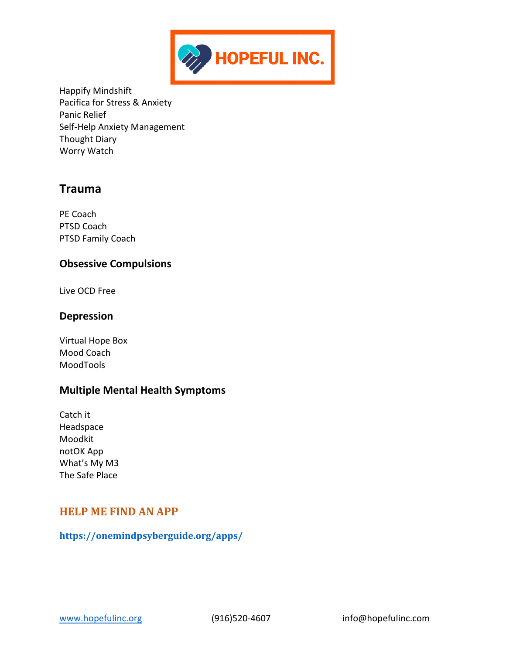

Happify Mindshift Pacifica for Stress & Anxiety Panic Relief Self-Help Anxiety Management Thought Diary Worry Watch

## **Trauma**

PE Coach PTSD Coach PTSD Family Coach

## **Obsessive Compulsions**

Live OCD Free

## **Depression**

Virtual Hope Box Mood Coach MoodTools

## **Multiple Mental Health Symptoms**

Catch it Headspace Moodkit notOK App What's My M3 The Safe Place

## **HELP ME FIND AN APP**

**<https://onemindpsyberguide.org/apps/>**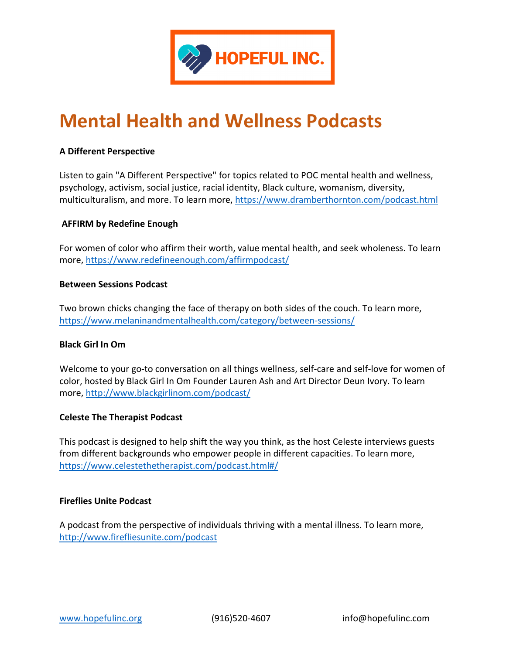

# **Mental Health and Wellness Podcasts**

#### **A Different Perspective**

Listen to gain "A Different Perspective" for topics related to POC mental health and wellness, psychology, activism, social justice, racial identity, Black culture, womanism, diversity, multiculturalism, and more. To learn more,<https://www.dramberthornton.com/podcast.html>

#### **AFFIRM by Redefine Enough**

For women of color who affirm their worth, value mental health, and seek wholeness. To learn more,<https://www.redefineenough.com/affirmpodcast/>

#### **Between Sessions Podcast**

Two brown chicks changing the face of therapy on both sides of the couch. To learn more, <https://www.melaninandmentalhealth.com/category/between-sessions/>

#### **Black Girl In Om**

Welcome to your go-to conversation on all things wellness, self-care and self-love for women of color, hosted by Black Girl In Om Founder Lauren Ash and Art Director Deun Ivory. To learn more,<http://www.blackgirlinom.com/podcast/>

#### **Celeste The Therapist Podcast**

This podcast is designed to help shift the way you think, as the host Celeste interviews guests from different backgrounds who empower people in different capacities. To learn more, <https://www.celestethetherapist.com/podcast.html#/>

#### **Fireflies Unite Podcast**

A podcast from the perspective of individuals thriving with a mental illness. To learn more, <http://www.firefliesunite.com/podcast>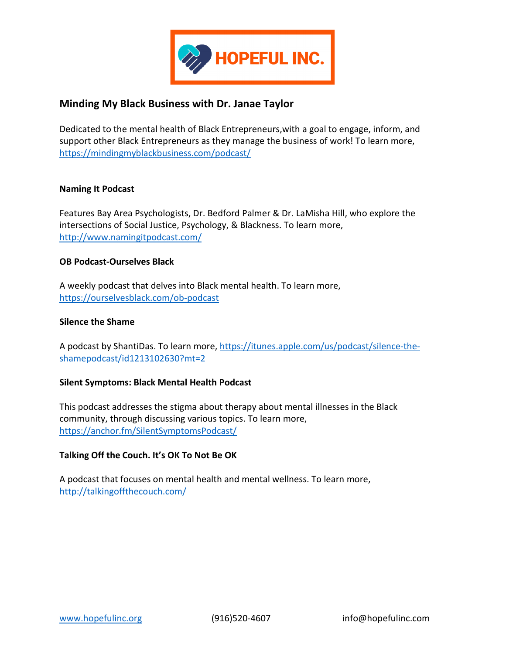

## **Minding My Black Business with Dr. Janae Taylor**

Dedicated to the mental health of Black Entrepreneurs,with a goal to engage, inform, and support other Black Entrepreneurs as they manage the business of work! To learn more, <https://mindingmyblackbusiness.com/podcast/>

#### **Naming It Podcast**

Features Bay Area Psychologists, Dr. Bedford Palmer & Dr. LaMisha Hill, who explore the intersections of Social Justice, Psychology, & Blackness. To learn more, <http://www.namingitpodcast.com/>

#### **OB Podcast-Ourselves Black**

A weekly podcast that delves into Black mental health. To learn more, <https://ourselvesblack.com/ob-podcast>

#### **Silence the Shame**

A podcast by ShantiDas. To learn more, [https://itunes.apple.com/us/podcast/silence-the](https://itunes.apple.com/us/podcast/silence-the-shamepodcast/id1213102630?mt=2)[shamepodcast/id1213102630?mt=2](https://itunes.apple.com/us/podcast/silence-the-shamepodcast/id1213102630?mt=2)

#### **Silent Symptoms: Black Mental Health Podcast**

This podcast addresses the stigma about therapy about mental illnesses in the Black community, through discussing various topics. To learn more, <https://anchor.fm/SilentSymptomsPodcast/>

#### **Talking Off the Couch. It's OK To Not Be OK**

A podcast that focuses on mental health and mental wellness. To learn more, <http://talkingoffthecouch.com/>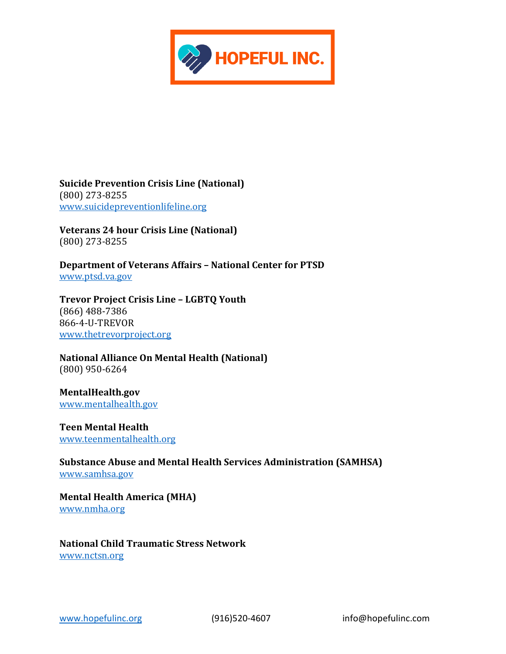

**Suicide Prevention Crisis Line (National)** (800) 273-8255 [www.suicidepreventionlifeline.org](http://www.suicidepreventionlifeline.org/)

**Veterans 24 hour Crisis Line (National)**  (800) 273-8255

**Department of Veterans Affairs – National Center for PTSD**  [www.ptsd.va.gov](http://www.ptsd.va.gov/)

**Trevor Project Crisis Line – LGBTQ Youth**  (866) 488-7386 866-4-U-TREVOR [www.thetrevorproject.org](http://www.thetrevorproject.org/)

**National Alliance On Mental Health (National)** (800) 950-6264

**MentalHealth.gov** [www.mentalhealth.gov](http://www.mentalhealth.gov/)

**Teen Mental Health**  [www.teenmentalhealth.org](http://www.teenmentalhealth.org/)

**Substance Abuse and Mental Health Services Administration (SAMHSA)**  [www.samhsa.gov](http://www.samhsa.gov/)

**Mental Health America (MHA)**  [www.nmha.org](http://www.nmha.org/)

**National Child Traumatic Stress Network**  [www.nctsn.org](http://www.nctsn.org/)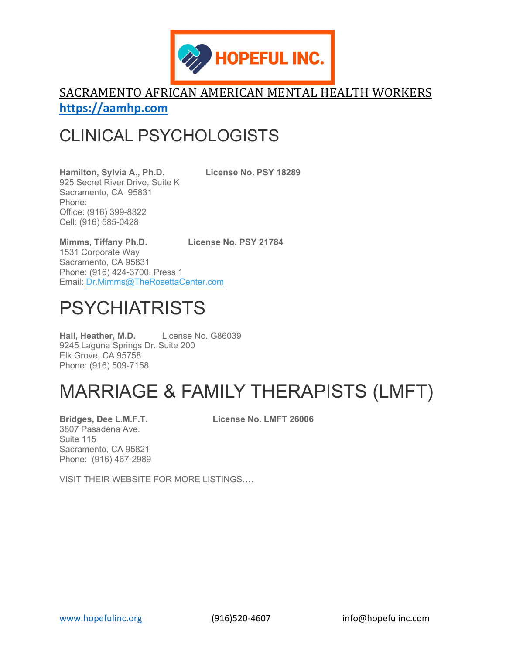

## SACRAMENTO AFRICAN AMERICAN MENTAL HEALTH WORKERS **[https://aamhp.com](https://aamhp.com/)**

## CLINICAL PSYCHOLOGISTS

**Hamilton, Sylvia A., Ph.D. License No. PSY 18289** 925 Secret River Drive, Suite K Sacramento, CA 95831 Phone: Office: (916) 399-8322 Cell: (916) 585-0428

**Mimms, Tiffany Ph.D. License No. PSY 21784** 1531 Corporate Way Sacramento, CA 95831 Phone: (916) 424-3700, Press 1 Email: [Dr.Mimms@TheRosettaCenter.com](mailto:Dr.Mimms@TheRosettaCenter.com)

# PSYCHIATRISTS

**Hall, Heather, M.D.** License No. G86039 9245 Laguna Springs Dr. Suite 200 Elk Grove, CA 95758 Phone: (916) 509-7158

# MARRIAGE & FAMILY THERAPISTS (LMFT)

3807 Pasadena Ave. Suite 115 Sacramento, CA 95821 Phone: (916) 467-2989

**Bridges, Dee L.M.F.T. License No. LMFT 26006**

VISIT THEIR WEBSITE FOR MORE LISTINGS….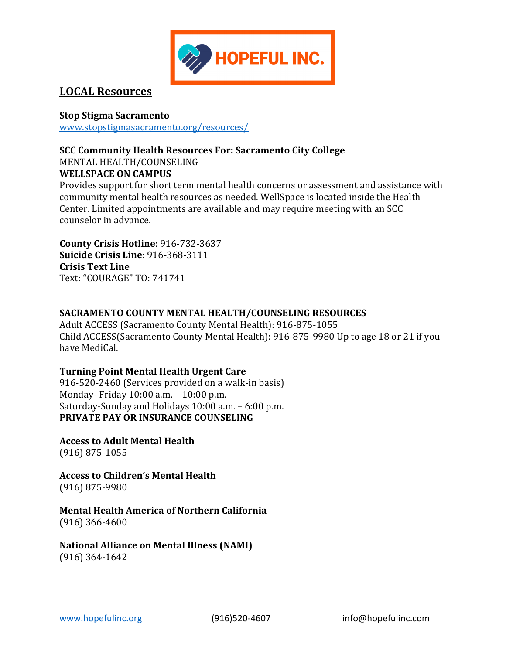

## **LOCAL Resources**

### **Stop Stigma Sacramento**

www.stopstigmasacramento.org/resources/

#### **SCC Community Health Resources For: Sacramento City College**

MENTAL HEALTH/COUNSELING

### **WELLSPACE ON CAMPUS**

Provides support for short term mental health concerns or assessment and assistance with community mental health resources as needed. WellSpace is located inside the Health Center. Limited appointments are available and may require meeting with an SCC counselor in advance.

**County Crisis Hotline**: 916-732-3637 **Suicide Crisis Line**: 916-368-3111 **Crisis Text Line**  Text: "COURAGE" TO: 741741

## **SACRAMENTO COUNTY MENTAL HEALTH/COUNSELING RESOURCES**

Adult ACCESS (Sacramento County Mental Health): 916-875-1055 Child ACCESS(Sacramento County Mental Health): 916-875-9980 Up to age 18 or 21 if you have MediCal.

#### **Turning Point Mental Health Urgent Care**

916-520-2460 (Services provided on a walk-in basis) Monday- Friday 10:00 a.m. – 10:00 p.m. Saturday-Sunday and Holidays 10:00 a.m. – 6:00 p.m. **PRIVATE PAY OR INSURANCE COUNSELING**

**Access to Adult Mental Health** (916) 875-1055

**Access to Children's Mental Health** (916) 875-9980

**Mental Health America of Northern California**  (916) 366-4600

**National Alliance on Mental Illness (NAMI)**  (916) 364-1642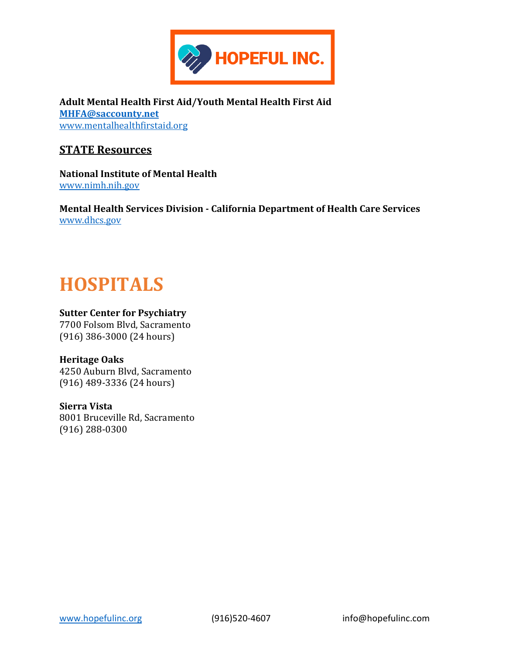

**Adult Mental Health First Aid/Youth Mental Health First Aid [MHFA@saccounty.net](mailto:MHFA@saccounty.net)** [www.mentalhealthfirstaid.org](http://www.mentalhealthfirstaid.org/)

### **STATE Resources**

**National Institute of Mental Health** [www.nimh.nih.gov](http://www.nimh.nih.gov/)

**Mental Health Services Division - California Department of Health Care Services** [www.dhcs.gov](http://www.dhcs.gov/)

## **HOSPITALS**

#### **Sutter Center for Psychiatry**

7700 Folsom Blvd, Sacramento (916) 386-3000 (24 hours)

#### **Heritage Oaks**

4250 Auburn Blvd, Sacramento (916) 489-3336 (24 hours)

#### **Sierra Vista** 8001 Bruceville Rd, Sacramento (916) 288-0300